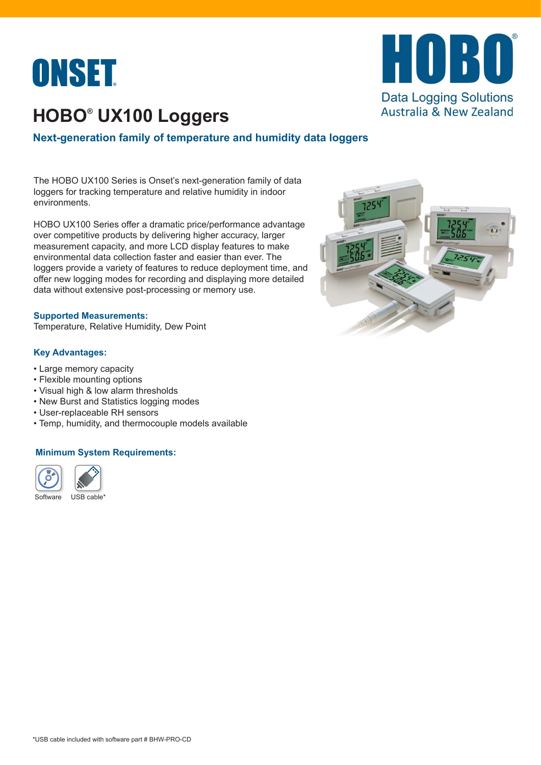



# **HOBO® UX100 Loggers**

### **Next-generation family of temperature and humidity data loggers**

The HOBO UX100 Series is Onset's next-generation family of data loggers for tracking temperature and relative humidity in indoor environments.

HOBO UX100 Series offer a dramatic price/performance advantage over competitive products by delivering higher accuracy, larger measurement capacity, and more LCD display features to make environmental data collection faster and easier than ever. The loggers provide a variety of features to reduce deployment time, and offer new logging modes for recording and displaying more detailed data without extensive post-processing or memory use.

#### **Supported Measurements:**

Temperature, Relative Humidity, Dew Point

#### **Key Advantages:**

- Large memory capacity
- Flexible mounting options
- Visual high & low alarm thresholds
- New Burst and Statistics logging modes
- User-replaceable RH sensors
- Temp, humidity, and thermocouple models available

#### **Minimum System Requirements:**



USB cable